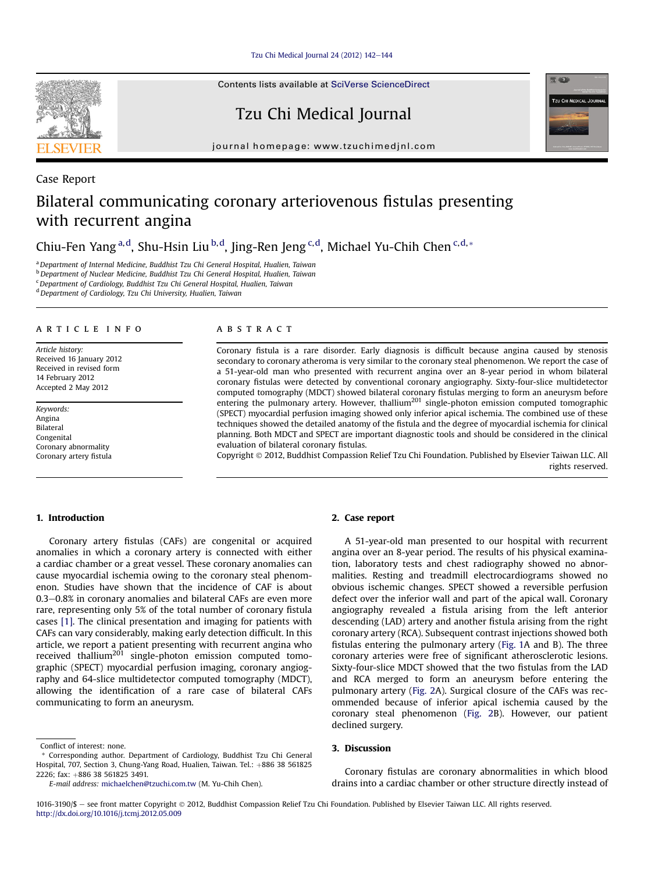Tzu Chi Medical Journal 24 (2012)  $142-144$  $142-144$ 

Contents lists available at [SciVerse ScienceDirect](www.sciencedirect.com/science/journal/10163190)

Tzu Chi Medical Journal

journal homepage: [www.tzuchimedjnl.com](http://www.tzuchimedjnl.com)

# Case Report Bilateral communicating coronary arteriovenous fistulas presenting with recurrent angina

Chiu-Fen Yang <sup>a, d</sup>, Shu-Hsin Liu <sup>b, d</sup>, Jing-Ren Jeng <sup>c, d</sup>, Michael Yu-Chih Chen <sup>c, d,</sup> \*

<sup>a</sup> Department of Internal Medicine, Buddhist Tzu Chi General Hospital, Hualien, Taiwan

<sup>b</sup> Department of Nuclear Medicine, Buddhist Tzu Chi General Hospital, Hualien, Taiwan

<sup>c</sup>Department of Cardiology, Buddhist Tzu Chi General Hospital, Hualien, Taiwan

<sup>d</sup> Department of Cardiology, Tzu Chi University, Hualien, Taiwan

#### article info

Article history: Received 16 January 2012 Received in revised form 14 February 2012 Accepted 2 May 2012

Keywords: Angina Bilateral Congenital Coronary abnormality Coronary artery fistula

## ABSTRACT

Coronary fistula is a rare disorder. Early diagnosis is difficult because angina caused by stenosis secondary to coronary atheroma is very similar to the coronary steal phenomenon. We report the case of a 51-year-old man who presented with recurrent angina over an 8-year period in whom bilateral coronary fistulas were detected by conventional coronary angiography. Sixty-four-slice multidetector computed tomography (MDCT) showed bilateral coronary fistulas merging to form an aneurysm before entering the pulmonary artery. However, thallium<sup>201</sup> single-photon emission computed tomographic (SPECT) myocardial perfusion imaging showed only inferior apical ischemia. The combined use of these techniques showed the detailed anatomy of the fistula and the degree of myocardial ischemia for clinical planning. Both MDCT and SPECT are important diagnostic tools and should be considered in the clinical evaluation of bilateral coronary fistulas.

Copyright 2012, Buddhist Compassion Relief Tzu Chi Foundation. Published by Elsevier Taiwan LLC. All rights reserved.

#### 1. Introduction

Coronary artery fistulas (CAFs) are congenital or acquired anomalies in which a coronary artery is connected with either a cardiac chamber or a great vessel. These coronary anomalies can cause myocardial ischemia owing to the coronary steal phenomenon. Studies have shown that the incidence of CAF is about  $0.3-0.8\%$  in coronary anomalies and bilateral CAFs are even more rare, representing only 5% of the total number of coronary fistula cases [\[1\]](#page-2-0). The clinical presentation and imaging for patients with CAFs can vary considerably, making early detection difficult. In this article, we report a patient presenting with recurrent angina who received thallium<sup>201</sup> single-photon emission computed tomographic (SPECT) myocardial perfusion imaging, coronary angiography and 64-slice multidetector computed tomography (MDCT), allowing the identification of a rare case of bilateral CAFs communicating to form an aneurysm.

# 2. Case report

A 51-year-old man presented to our hospital with recurrent angina over an 8-year period. The results of his physical examination, laboratory tests and chest radiography showed no abnormalities. Resting and treadmill electrocardiograms showed no obvious ischemic changes. SPECT showed a reversible perfusion defect over the inferior wall and part of the apical wall. Coronary angiography revealed a fistula arising from the left anterior descending (LAD) artery and another fistula arising from the right coronary artery (RCA). Subsequent contrast injections showed both fistulas entering the pulmonary artery [\(Fig. 1A](#page-1-0) and B). The three coronary arteries were free of significant atherosclerotic lesions. Sixty-four-slice MDCT showed that the two fistulas from the LAD and RCA merged to form an aneurysm before entering the pulmonary artery [\(Fig. 2](#page-1-0)A). Surgical closure of the CAFs was recommended because of inferior apical ischemia caused by the coronary steal phenomenon ([Fig. 2B](#page-1-0)). However, our patient declined surgery.

### 3. Discussion

Coronary fistulas are coronary abnormalities in which blood drains into a cardiac chamber or other structure directly instead of





Conflict of interest: none.

<sup>\*</sup> Corresponding author. Department of Cardiology, Buddhist Tzu Chi General Hospital, 707, Section 3, Chung-Yang Road, Hualien, Taiwan. Tel.: +886 38 561825 2226; fax: +886 38 561825 3491.

E-mail address: [michaelchen@tzuchi.com.tw](mailto:michaelchen@tzuchi.com.tw) (M. Yu-Chih Chen).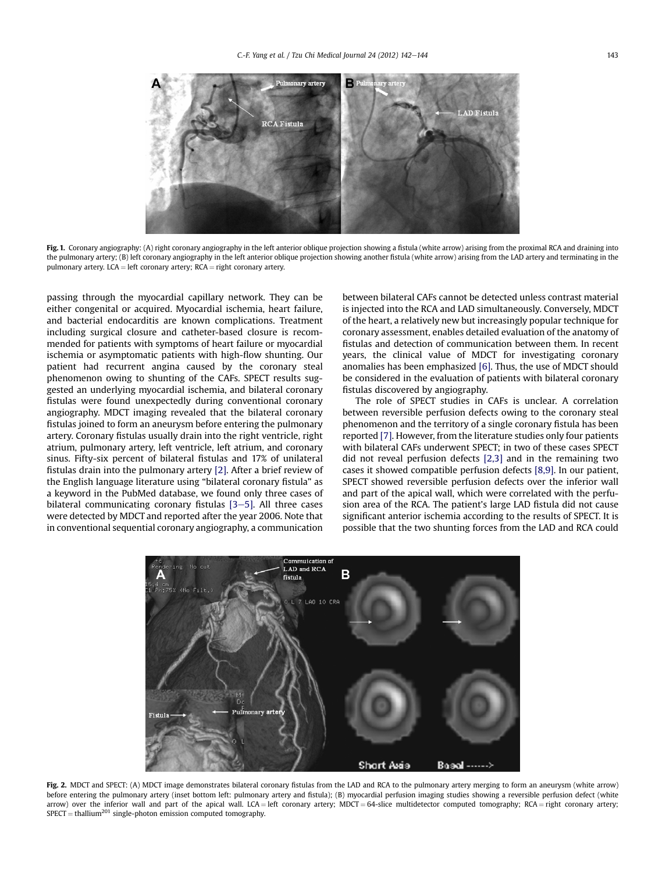<span id="page-1-0"></span>

Fig. 1. Coronary angiography: (A) right coronary angiography in the left anterior oblique projection showing a fistula (white arrow) arising from the proximal RCA and draining into the pulmonary artery; (B) left coronary angiography in the left anterior oblique projection showing another fistula (white arrow) arising from the LAD artery and terminating in the pulmonary artery. LCA = left coronary artery;  $RCA =$  right coronary artery.

passing through the myocardial capillary network. They can be either congenital or acquired. Myocardial ischemia, heart failure, and bacterial endocarditis are known complications. Treatment including surgical closure and catheter-based closure is recommended for patients with symptoms of heart failure or myocardial ischemia or asymptomatic patients with high-flow shunting. Our patient had recurrent angina caused by the coronary steal phenomenon owing to shunting of the CAFs. SPECT results suggested an underlying myocardial ischemia, and bilateral coronary fistulas were found unexpectedly during conventional coronary angiography. MDCT imaging revealed that the bilateral coronary fistulas joined to form an aneurysm before entering the pulmonary artery. Coronary fistulas usually drain into the right ventricle, right atrium, pulmonary artery, left ventricle, left atrium, and coronary sinus. Fifty-six percent of bilateral fistulas and 17% of unilateral fistulas drain into the pulmonary artery [\[2\].](#page-2-0) After a brief review of the English language literature using "bilateral coronary fistula" as a keyword in the PubMed database, we found only three cases of bilateral communicating coronary fistulas  $[3-5]$  $[3-5]$  $[3-5]$ . All three cases were detected by MDCT and reported after the year 2006. Note that in conventional sequential coronary angiography, a communication

between bilateral CAFs cannot be detected unless contrast material is injected into the RCA and LAD simultaneously. Conversely, MDCT of the heart, a relatively new but increasingly popular technique for coronary assessment, enables detailed evaluation of the anatomy of fistulas and detection of communication between them. In recent years, the clinical value of MDCT for investigating coronary anomalies has been emphasized [\[6\]](#page-2-0). Thus, the use of MDCT should be considered in the evaluation of patients with bilateral coronary fistulas discovered by angiography.

The role of SPECT studies in CAFs is unclear. A correlation between reversible perfusion defects owing to the coronary steal phenomenon and the territory of a single coronary fistula has been reported [\[7\]](#page-2-0). However, from the literature studies only four patients with bilateral CAFs underwent SPECT; in two of these cases SPECT did not reveal perfusion defects [\[2,3\]](#page-2-0) and in the remaining two cases it showed compatible perfusion defects [\[8,9\].](#page-2-0) In our patient, SPECT showed reversible perfusion defects over the inferior wall and part of the apical wall, which were correlated with the perfusion area of the RCA. The patient's large LAD fistula did not cause significant anterior ischemia according to the results of SPECT. It is possible that the two shunting forces from the LAD and RCA could



Fig. 2. MDCT and SPECT: (A) MDCT image demonstrates bilateral coronary fistulas from the LAD and RCA to the pulmonary artery merging to form an aneurysm (white arrow) before entering the pulmonary artery (inset bottom left: pulmonary artery and fistula); (B) myocardial perfusion imaging studies showing a reversible perfusion defect (white arrow) over the inferior wall and part of the apical wall. LCA = left coronary artery; MDCT = 64-slice multidetector computed tomography; RCA = right coronary artery;  $SPECT = thallium<sup>201</sup> single-photon emission computed tomography.$